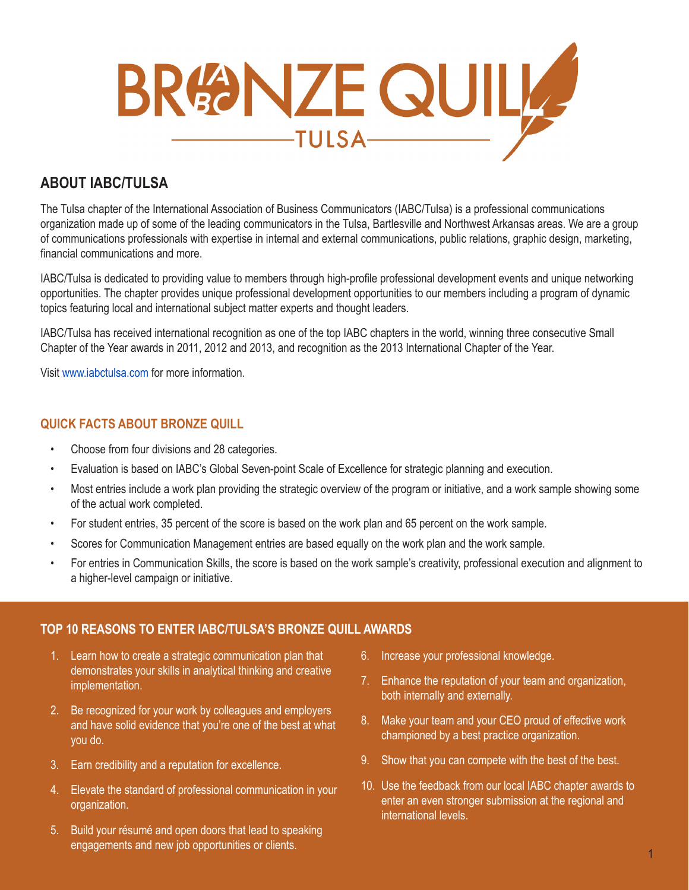

# **ABOUT IABC/TULSA**

The Tulsa chapter of the International Association of Business Communicators (IABC/Tulsa) is a professional communications organization made up of some of the leading communicators in the Tulsa, Bartlesville and Northwest Arkansas areas. We are a group of communications professionals with expertise in internal and external communications, public relations, graphic design, marketing, financial communications and more.

IABC/Tulsa is dedicated to providing value to members through high-profile professional development events and unique networking opportunities. The chapter provides unique professional development opportunities to our members including a program of dynamic topics featuring local and international subject matter experts and thought leaders.

IABC/Tulsa has received international recognition as one of the top IABC chapters in the world, winning three consecutive Small Chapter of the Year awards in 2011, 2012 and 2013, and recognition as the 2013 International Chapter of the Year.

Visit www.iabctulsa.com for more information.

# **QUICK FACTS ABOUT BRONZE QUILL**

- Choose from four divisions and 28 categories.
- Evaluation is based on IABC's Global Seven-point Scale of Excellence for strategic planning and execution.
- Most entries include a work plan providing the strategic overview of the program or initiative, and a work sample showing some of the actual work completed.
- For student entries, 35 percent of the score is based on the work plan and 65 percent on the work sample.
- Scores for Communication Management entries are based equally on the work plan and the work sample.
- For entries in Communication Skills, the score is based on the work sample's creativity, professional execution and alignment to a higher-level campaign or initiative.

## **TOP 10 REASONS TO ENTER IABC/TULSA'S BRONZE QUILL AWARDS**

- 1. Learn how to create a strategic communication plan that demonstrates your skills in analytical thinking and creative implementation.
- 2. Be recognized for your work by colleagues and employers and have solid evidence that you're one of the best at what you do.
- 3. Earn credibility and a reputation for excellence.
- 4. Elevate the standard of professional communication in your organization.
- 5. Build your résumé and open doors that lead to speaking engagements and new job opportunities or clients.
- 6. Increase your professional knowledge.
- 7. Enhance the reputation of your team and organization, both internally and externally.
- 8. Make your team and your CEO proud of effective work championed by a best practice organization.
- 9. Show that you can compete with the best of the best.
- 10. Use the feedback from our local IABC chapter awards to enter an even stronger submission at the regional and international levels.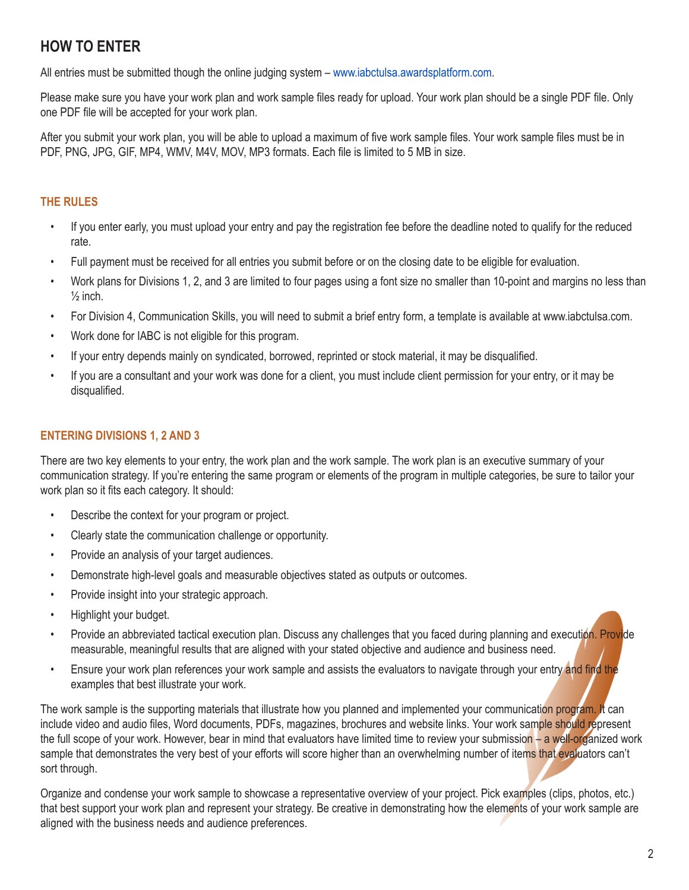# **HOW TO ENTER**

All entries must be submitted though the online judging system – www.iabctulsa.awardsplatform.com.

Please make sure you have your work plan and work sample files ready for upload. Your work plan should be a single PDF file. Only one PDF file will be accepted for your work plan.

After you submit your work plan, you will be able to upload a maximum of five work sample files. Your work sample files must be in PDF, PNG, JPG, GIF, MP4, WMV, M4V, MOV, MP3 formats. Each file is limited to 5 MB in size.

# **THE RULES**

- If you enter early, you must upload your entry and pay the registration fee before the deadline noted to qualify for the reduced rate.
- Full payment must be received for all entries you submit before or on the closing date to be eligible for evaluation.
- Work plans for Divisions 1, 2, and 3 are limited to four pages using a font size no smaller than 10-point and margins no less than  $\frac{1}{2}$  inch.
- For Division 4, Communication Skills, you will need to submit a brief entry form, a template is available at www.iabctulsa.com.
- Work done for IABC is not eligible for this program.
- If your entry depends mainly on syndicated, borrowed, reprinted or stock material, it may be disqualified.
- If you are a consultant and your work was done for a client, you must include client permission for your entry, or it may be disqualified.

## **ENTERING DIVISIONS 1, 2 AND 3**

There are two key elements to your entry, the work plan and the work sample. The work plan is an executive summary of your communication strategy. If you're entering the same program or elements of the program in multiple categories, be sure to tailor your work plan so it fits each category. It should:

- Describe the context for your program or project.
- Clearly state the communication challenge or opportunity.
- Provide an analysis of your target audiences.
- Demonstrate high-level goals and measurable objectives stated as outputs or outcomes.
- Provide insight into your strategic approach.
- Highlight your budget.
- Provide an abbreviated tactical execution plan. Discuss any challenges that you faced during planning and execution. Provide measurable, meaningful results that are aligned with your stated objective and audience and business need.
- Ensure your work plan references your work sample and assists the evaluators to navigate through your entry and find the examples that best illustrate your work.

The work sample is the supporting materials that illustrate how you planned and implemented your communication program. It can include video and audio files, Word documents, PDFs, magazines, brochures and website links. Your work sample should represent the full scope of your work. However, bear in mind that evaluators have limited time to review your submission – a well-organized work sample that demonstrates the very best of your efforts will score higher than an overwhelming number of items that evaluators can't sort through.

Organize and condense your work sample to showcase a representative overview of your project. Pick examples (clips, photos, etc.) that best support your work plan and represent your strategy. Be creative in demonstrating how the elements of your work sample are aligned with the business needs and audience preferences.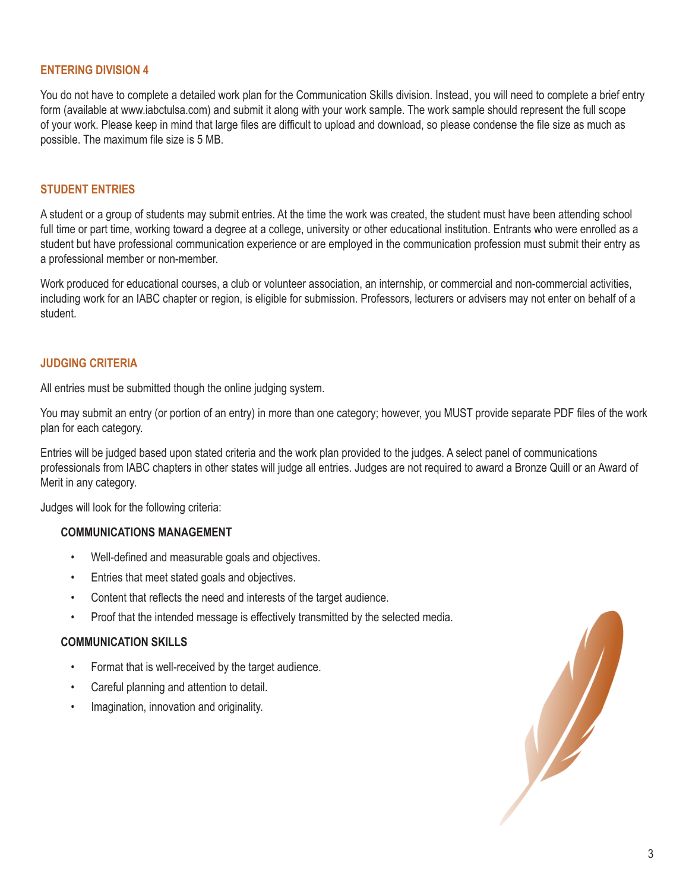#### **ENTERING DIVISION 4**

You do not have to complete a detailed work plan for the Communication Skills division. Instead, you will need to complete a brief entry form (available at www.iabctulsa.com) and submit it along with your work sample. The work sample should represent the full scope of your work. Please keep in mind that large files are difficult to upload and download, so please condense the file size as much as possible. The maximum file size is 5 MB.

#### **STUDENT ENTRIES**

A student or a group of students may submit entries. At the time the work was created, the student must have been attending school full time or part time, working toward a degree at a college, university or other educational institution. Entrants who were enrolled as a student but have professional communication experience or are employed in the communication profession must submit their entry as a professional member or non-member.

Work produced for educational courses, a club or volunteer association, an internship, or commercial and non-commercial activities, including work for an IABC chapter or region, is eligible for submission. Professors, lecturers or advisers may not enter on behalf of a student.

#### **JUDGING CRITERIA**

All entries must be submitted though the online judging system.

You may submit an entry (or portion of an entry) in more than one category; however, you MUST provide separate PDF files of the work plan for each category.

Entries will be judged based upon stated criteria and the work plan provided to the judges. A select panel of communications professionals from IABC chapters in other states will judge all entries. Judges are not required to award a Bronze Quill or an Award of Merit in any category.

Judges will look for the following criteria:

#### **COMMUNICATIONS MANAGEMENT**

- Well-defined and measurable goals and objectives.
- Entries that meet stated goals and objectives.
- Content that reflects the need and interests of the target audience.
- Proof that the intended message is effectively transmitted by the selected media.

#### **COMMUNICATION SKILLS**

- Format that is well-received by the target audience.
- Careful planning and attention to detail.
- Imagination, innovation and originality.

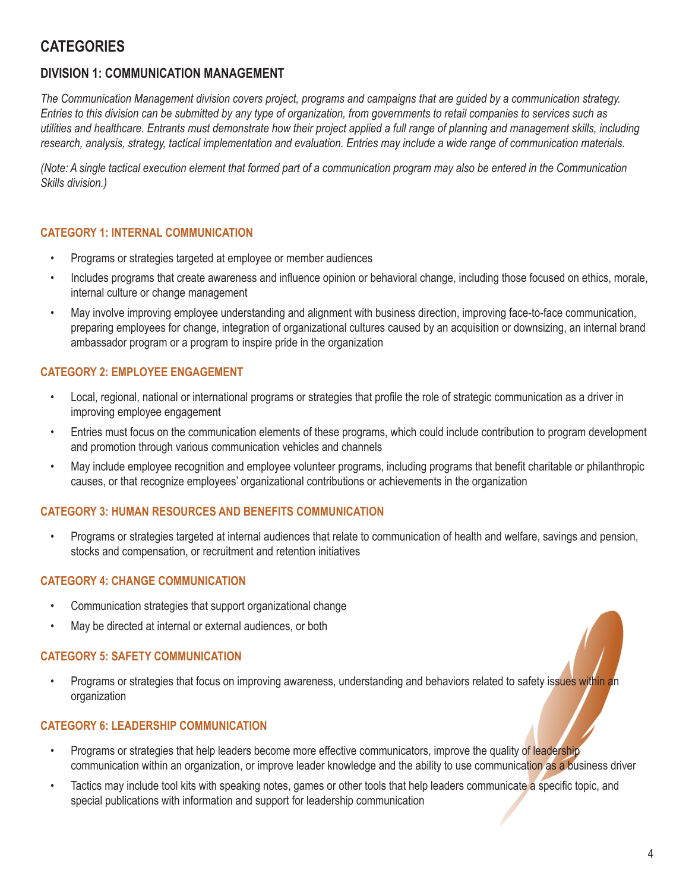# **CATEGORIES**

# **DIVISION 1: COMMUNICATION MANAGEMENT**

*The Communication Management division covers project, programs and campaigns that are guided by a communication strategy. Entries to this division can be submitted by any type of organization, from governments to retail companies to services such as utilities and healthcare. Entrants must demonstrate how their project applied a full range of planning and management skills, including research, analysis, strategy, tactical implementation and evaluation. Entries may include a wide range of communication materials.*

*(Note: A single tactical execution element that formed part of a communication program may also be entered in the Communication Skills division.)*

#### **CATEGORY 1: INTERNAL COMMUNICATION**

- Programs or strategies targeted at employee or member audiences
- Includes programs that create awareness and influence opinion or behavioral change, including those focused on ethics, morale, internal culture or change management
- May involve improving employee understanding and alignment with business direction, improving face-to-face communication, preparing employees for change, integration of organizational cultures caused by an acquisition or downsizing, an internal brand ambassador program or a program to inspire pride in the organization

## **CATEGORY 2: EMPLOYEE ENGAGEMENT**

- Local, regional, national or international programs or strategies that profile the role of strategic communication as a driver in improving employee engagement
- Entries must focus on the communication elements of these programs, which could include contribution to program development and promotion through various communication vehicles and channels
- May include employee recognition and employee volunteer programs, including programs that benefit charitable or philanthropic causes, or that recognize employees' organizational contributions or achievements in the organization

#### **CATEGORY 3: HUMAN RESOURCES AND BENEFITS COMMUNICATION**

• Programs or strategies targeted at internal audiences that relate to communication of health and welfare, savings and pension, stocks and compensation, or recruitment and retention initiatives

#### **CATEGORY 4: CHANGE COMMUNICATION**

- Communication strategies that support organizational change
- May be directed at internal or external audiences, or both

#### **CATEGORY 5: SAFETY COMMUNICATION**

• Programs or strategies that focus on improving awareness, understanding and behaviors related to safety issues within an organization

#### **CATEGORY 6: LEADERSHIP COMMUNICATION**

- Programs or strategies that help leaders become more effective communicators, improve the quality of leadership communication within an organization, or improve leader knowledge and the ability to use communication as a business driver
- Tactics may include tool kits with speaking notes, games or other tools that help leaders communicate a specific topic, and special publications with information and support for leadership communication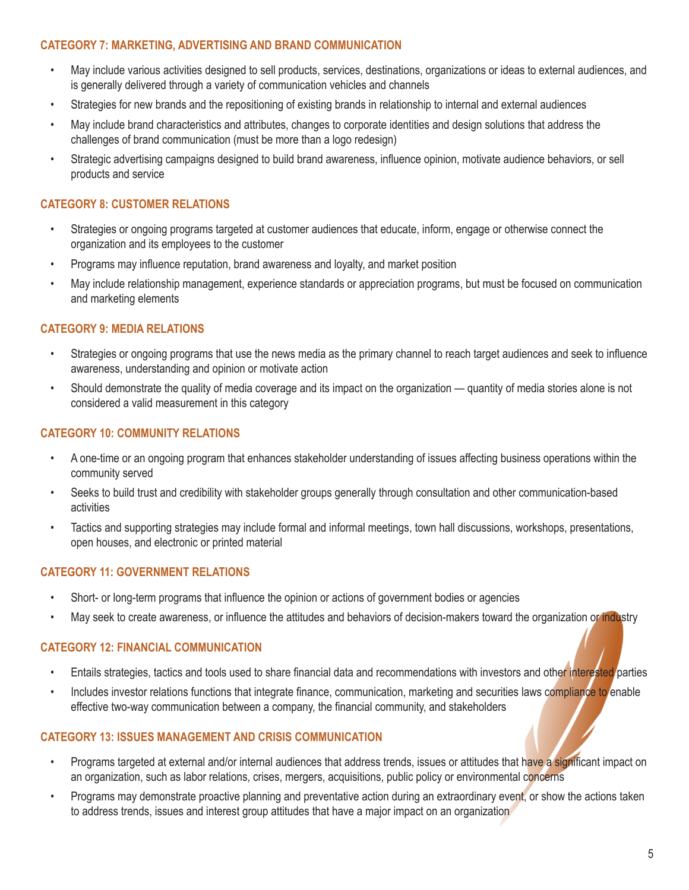#### **CATEGORY 7: MARKETING, ADVERTISING AND BRAND COMMUNICATION**

- May include various activities designed to sell products, services, destinations, organizations or ideas to external audiences, and is generally delivered through a variety of communication vehicles and channels
- Strategies for new brands and the repositioning of existing brands in relationship to internal and external audiences
- May include brand characteristics and attributes, changes to corporate identities and design solutions that address the challenges of brand communication (must be more than a logo redesign)
- Strategic advertising campaigns designed to build brand awareness, influence opinion, motivate audience behaviors, or sell products and service

#### **CATEGORY 8: CUSTOMER RELATIONS**

- Strategies or ongoing programs targeted at customer audiences that educate, inform, engage or otherwise connect the organization and its employees to the customer
- Programs may influence reputation, brand awareness and loyalty, and market position
- May include relationship management, experience standards or appreciation programs, but must be focused on communication and marketing elements

#### **CATEGORY 9: MEDIA RELATIONS**

- Strategies or ongoing programs that use the news media as the primary channel to reach target audiences and seek to influence awareness, understanding and opinion or motivate action
- Should demonstrate the quality of media coverage and its impact on the organization quantity of media stories alone is not considered a valid measurement in this category

#### **CATEGORY 10: COMMUNITY RELATIONS**

- A one-time or an ongoing program that enhances stakeholder understanding of issues affecting business operations within the community served
- Seeks to build trust and credibility with stakeholder groups generally through consultation and other communication-based activities
- Tactics and supporting strategies may include formal and informal meetings, town hall discussions, workshops, presentations, open houses, and electronic or printed material

#### **CATEGORY 11: GOVERNMENT RELATIONS**

- Short- or long-term programs that influence the opinion or actions of government bodies or agencies
- May seek to create awareness, or influence the attitudes and behaviors of decision-makers toward the organization or industry

#### **CATEGORY 12: FINANCIAL COMMUNICATION**

- Entails strategies, tactics and tools used to share financial data and recommendations with investors and other interested parties
- Includes investor relations functions that integrate finance, communication, marketing and securities laws compliance to enable effective two-way communication between a company, the financial community, and stakeholders

#### **CATEGORY 13: ISSUES MANAGEMENT AND CRISIS COMMUNICATION**

- Programs targeted at external and/or internal audiences that address trends, issues or attitudes that have a significant impact on an organization, such as labor relations, crises, mergers, acquisitions, public policy or environmental concerns
- Programs may demonstrate proactive planning and preventative action during an extraordinary event, or show the actions taken to address trends, issues and interest group attitudes that have a major impact on an organization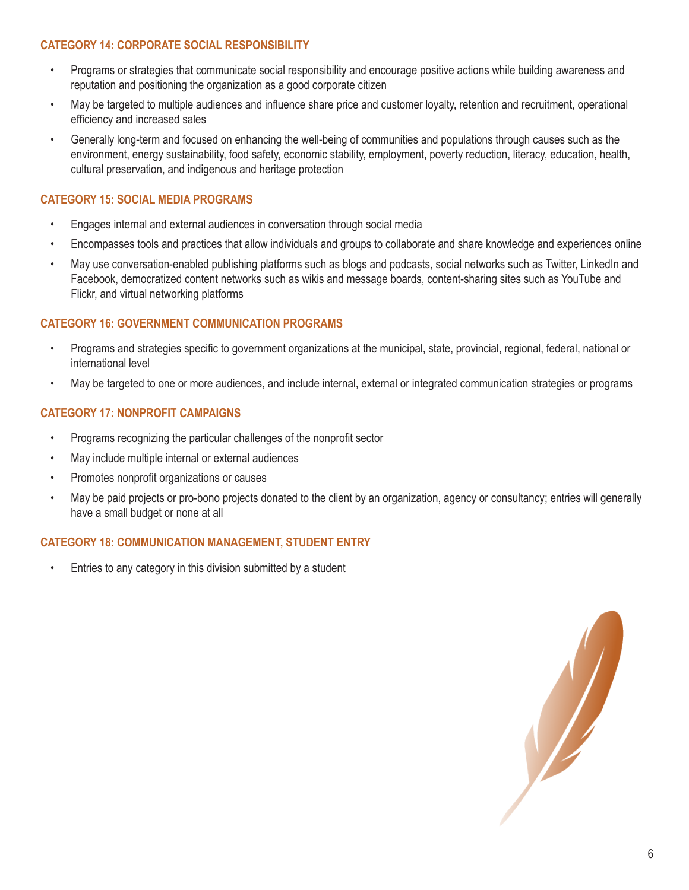#### **CATEGORY 14: CORPORATE SOCIAL RESPONSIBILITY**

- Programs or strategies that communicate social responsibility and encourage positive actions while building awareness and reputation and positioning the organization as a good corporate citizen
- May be targeted to multiple audiences and influence share price and customer loyalty, retention and recruitment, operational efficiency and increased sales
- Generally long-term and focused on enhancing the well-being of communities and populations through causes such as the environment, energy sustainability, food safety, economic stability, employment, poverty reduction, literacy, education, health, cultural preservation, and indigenous and heritage protection

#### **CATEGORY 15: SOCIAL MEDIA PROGRAMS**

- Engages internal and external audiences in conversation through social media
- Encompasses tools and practices that allow individuals and groups to collaborate and share knowledge and experiences online
- May use conversation-enabled publishing platforms such as blogs and podcasts, social networks such as Twitter, LinkedIn and Facebook, democratized content networks such as wikis and message boards, content-sharing sites such as YouTube and Flickr, and virtual networking platforms

#### **CATEGORY 16: GOVERNMENT COMMUNICATION PROGRAMS**

- Programs and strategies specific to government organizations at the municipal, state, provincial, regional, federal, national or international level
- May be targeted to one or more audiences, and include internal, external or integrated communication strategies or programs

#### **CATEGORY 17: NONPROFIT CAMPAIGNS**

- Programs recognizing the particular challenges of the nonprofit sector
- May include multiple internal or external audiences
- Promotes nonprofit organizations or causes
- May be paid projects or pro-bono projects donated to the client by an organization, agency or consultancy; entries will generally have a small budget or none at all

#### **CATEGORY 18: COMMUNICATION MANAGEMENT, STUDENT ENTRY**

• Entries to any category in this division submitted by a student

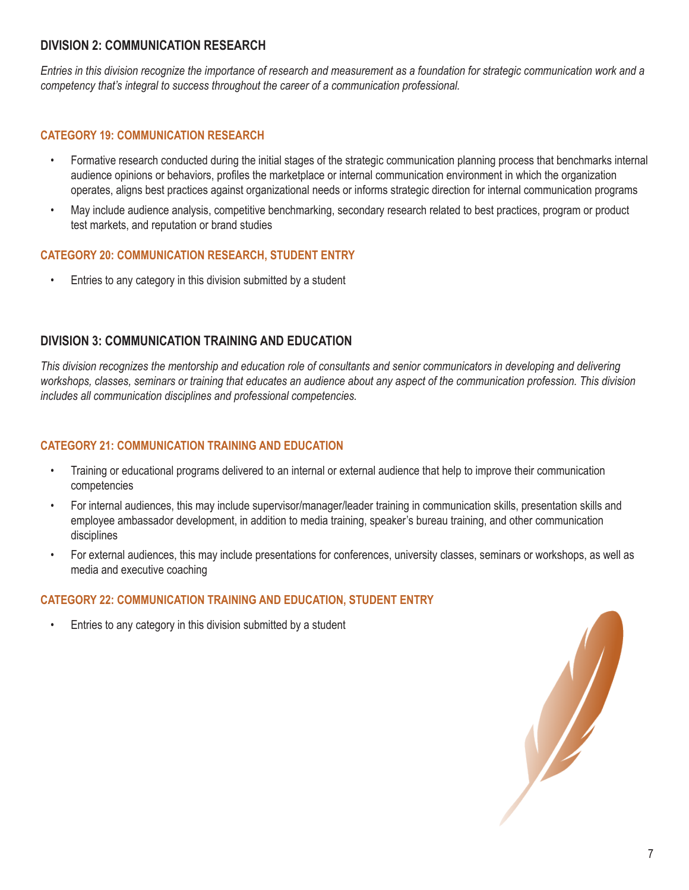## **DIVISION 2: COMMUNICATION RESEARCH**

*Entries in this division recognize the importance of research and measurement as a foundation for strategic communication work and a competency that's integral to success throughout the career of a communication professional.*

### **CATEGORY 19: COMMUNICATION RESEARCH**

- Formative research conducted during the initial stages of the strategic communication planning process that benchmarks internal audience opinions or behaviors, profiles the marketplace or internal communication environment in which the organization operates, aligns best practices against organizational needs or informs strategic direction for internal communication programs
- May include audience analysis, competitive benchmarking, secondary research related to best practices, program or product test markets, and reputation or brand studies

## **CATEGORY 20: COMMUNICATION RESEARCH, STUDENT ENTRY**

• Entries to any category in this division submitted by a student

# **DIVISION 3: COMMUNICATION TRAINING AND EDUCATION**

*This division recognizes the mentorship and education role of consultants and senior communicators in developing and delivering workshops, classes, seminars or training that educates an audience about any aspect of the communication profession. This division includes all communication disciplines and professional competencies.*

### **CATEGORY 21: COMMUNICATION TRAINING AND EDUCATION**

- Training or educational programs delivered to an internal or external audience that help to improve their communication competencies
- For internal audiences, this may include supervisor/manager/leader training in communication skills, presentation skills and employee ambassador development, in addition to media training, speaker's bureau training, and other communication disciplines
- For external audiences, this may include presentations for conferences, university classes, seminars or workshops, as well as media and executive coaching

## **CATEGORY 22: COMMUNICATION TRAINING AND EDUCATION, STUDENT ENTRY**

• Entries to any category in this division submitted by a student

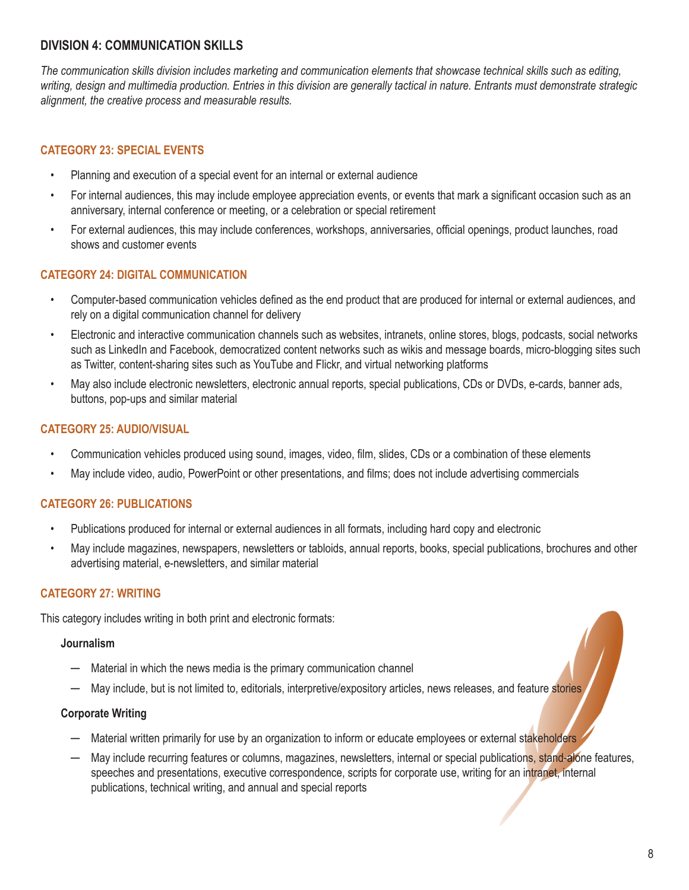# **DIVISION 4: COMMUNICATION SKILLS**

*The communication skills division includes marketing and communication elements that showcase technical skills such as editing, writing, design and multimedia production. Entries in this division are generally tactical in nature. Entrants must demonstrate strategic alignment, the creative process and measurable results.*

# **CATEGORY 23: SPECIAL EVENTS**

- Planning and execution of a special event for an internal or external audience
- For internal audiences, this may include employee appreciation events, or events that mark a significant occasion such as an anniversary, internal conference or meeting, or a celebration or special retirement
- For external audiences, this may include conferences, workshops, anniversaries, official openings, product launches, road shows and customer events

## **CATEGORY 24: DIGITAL COMMUNICATION**

- Computer-based communication vehicles defined as the end product that are produced for internal or external audiences, and rely on a digital communication channel for delivery
- Electronic and interactive communication channels such as websites, intranets, online stores, blogs, podcasts, social networks such as LinkedIn and Facebook, democratized content networks such as wikis and message boards, micro-blogging sites such as Twitter, content-sharing sites such as YouTube and Flickr, and virtual networking platforms
- May also include electronic newsletters, electronic annual reports, special publications, CDs or DVDs, e-cards, banner ads, buttons, pop-ups and similar material

## **CATEGORY 25: AUDIO/VISUAL**

- Communication vehicles produced using sound, images, video, film, slides, CDs or a combination of these elements
- May include video, audio, PowerPoint or other presentations, and films; does not include advertising commercials

#### **CATEGORY 26: PUBLICATIONS**

- Publications produced for internal or external audiences in all formats, including hard copy and electronic
- May include magazines, newspapers, newsletters or tabloids, annual reports, books, special publications, brochures and other advertising material, e-newsletters, and similar material

## **CATEGORY 27: WRITING**

This category includes writing in both print and electronic formats:

#### **Journalism**

- $-$  Material in which the news media is the primary communication channel
- $-$  May include, but is not limited to, editorials, interpretive/expository articles, news releases, and feature stories

#### **Corporate Writing**

- Material written primarily for use by an organization to inform or educate employees or external stakeholders
- May include recurring features or columns, magazines, newsletters, internal or special publications, stand-alone features, speeches and presentations, executive correspondence, scripts for corporate use, writing for an intranet, internal publications, technical writing, and annual and special reports